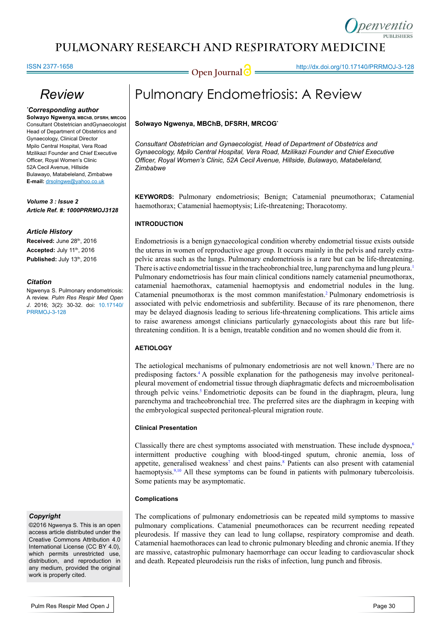# **pulmonary Research and respiratory medicinE**

#### ISSN 2377-1658

**Open Journal | implementation of the Universe of the Universe of Australian Contract of the Open Journal of the Universe of the Open Journal of the Universe of the Open Journal of the Universe of the Open Journal of the U** 

# *Review*

*\* Corresponding author*

**Solwayo Ngwenya, MBChB, DFSRH, MRCOG** Consultant Obstetrician andGynaecologist Head of Department of Obstetrics and Gynaecology, Clinical Director Mpilo Central Hospital, Vera Road Mzilikazi Founder and Chief Executive Officer, Royal Women's Clinic 52A Cecil Avenue, Hillside Bulawayo, Matabeleland, Zimbabwe **E-mail:** drsolngwe@yahoo.co.uk

*Volume 3 : Issue 2 Article Ref. #: 1000PRRMOJ3128*

#### *Article History*

**Received:** June 28th, 2016 **Accepted: July 11th, 2016 Published: July 13th, 2016** 

#### *Citation*

Ngwenya S. Pulmonary endometriosis: A review. *Pulm Res Respir Med Open J*. 2016; 3(2): 30-32. doi: 10.17140/ PRRMOJ-3-128

#### *Copyright*

©2016 Ngwenya S. This is an open access article distributed under the Creative Commons Attribution 4.0 International License (CC BY 4.0), which permits unrestricted use, distribution, and reproduction in any medium, provided the original work is properly cited.

#### **Solwayo Ngwenya, MBChB, DFSRH, MRCOG\***

*Consultant Obstetrician and Gynaecologist, Head of Department of Obstetrics and Gynaecology, Mpilo Central Hospital, Vera Road, Mzilikazi Founder and Chief Executive Officer, Royal Women's Clinic, 52A Cecil Avenue, Hillside, Bulawayo, Matabeleland, Zimbabwe* 

**KEYWORDS:** Pulmonary endometriosis; Benign; Catamenial pneumothorax; Catamenial haemothorax; Catamenial haemoptysis; Life-threatening; Thoracotomy.

### **INTRODUCTION**

Endometriosis is a benign gynaecological condition whereby endometrial tissue exists outside the uterus in women of reproductive age group. It occurs mainly in the pelvis and rarely extrapelvic areas such as the lungs. Pulmonary endometriosis is a rare but can be life-threatening. There is active endometrial tissue in the tracheobronchial tree, lung parenchyma and lung pleura.<sup>1</sup> Pulmonary endometriosis has four main clinical conditions namely catamenial pneumothorax, catamenial haemothorax, catamenial haemoptysis and endometrial nodules in the lung. Catamenial pneumothorax is the most common manifestation.[2](#page-1-1) Pulmonary endometriosis is associated with pelvic endometriosis and subfertility. Because of its rare phenomenon, there may be delayed diagnosis leading to serious life-threatening complications. This article aims to raise awareness amongst clinicians particularly gynaecologists about this rare but lifethreatening condition. It is a benign, treatable condition and no women should die from it.

### **AETIOLOGY**

The aetiological mechanisms of pulmonary endometriosis are not well known.<sup>[3](#page-1-2)</sup> There are no predisposing factors[.4](#page-1-3) A possible explanation for the pathogenesis may involve peritonealpleural movement of endometrial tissue through diaphragmatic defects and microembolisation through pelvic veins.<sup>[5](#page-1-4)</sup> Endometriotic deposits can be found in the diaphragm, pleura, lung parenchyma and tracheobronchial tree. The preferred sites are the diaphragm in keeping with the embryological suspected peritoneal-pleural migration route.

#### **Clinical Presentation**

Classically there are chest symptoms associated with menstruation. These include dyspnoea,<sup>6</sup> intermittent productive coughing with blood-tinged sputum, chronic anemia, loss of appetite, generalised weakness<sup>7</sup> and chest pains.<sup>8</sup> Patients can also present with catamenial haemoptysis.<sup>9,10</sup> All these symptoms can be found in patients with pulmonary tubercoloisis. Some patients may be asymptomatic.

#### **Complications**

The complications of pulmonary endometriosis can be repeated mild symptoms to massive pulmonary complications. Catamenial pneumothoraces can be recurrent needing repeated pleurodesis. If massive they can lead to lung collapse, respiratory compromise and death. Catamenial haemothoraces can lead to chronic pulmonary bleeding and chronic anemia. If they are massive, catastrophic pulmonary haemorrhage can occur leading to cardiovascular shock and death. Repeated pleurodeisis run the risks of infection, lung punch and fibrosis.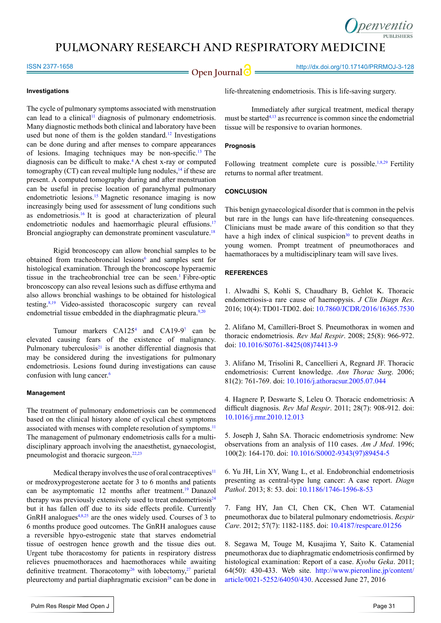# **pulmonary Research and respiratory medicinE**

ISSN 2377-1658

**Open Journal | http://dx.doi.org/10.17140/PRRMOJ-3-128** 

#### **Investigations**

The cycle of pulmonary symptoms associated with menstruation can lead to a clinical<sup>11</sup> diagnosis of pulmonary endometriosis. Many diagnostic methods both clinical and laboratory have been used but none of them is the golden standard.<sup>12</sup> Investigations can be done during and after menses to compare appearances of lesions. Imaging techniques may be non-specific.[13](#page-2-2) The diagnosis can be difficult to make.[4](#page-1-3) A chest x-ray or computed tomography (CT) can reveal multiple lung nodules, $14$  if these are present. A computed tomography during and after menstruation can be useful in precise location of paranchymal pulmonary endometriotic lesions[.15](#page-2-4) Magnetic resonance imaging is now increasingly being used for assessment of lung conditions such as endometriosis.<sup>[16](#page-2-5)</sup> It is good at characterization of pleural endometriotic nodules and haemorrhagic pleural effusions.<sup>[17](#page-2-6)</sup> Broncial angiography can demonstrate prominent vasculature.<sup>[18](#page-2-7)</sup>

Rigid broncoscopy can allow bronchial samples to be obtained from tracheobroncial lesions<sup>[6](#page-1-5)</sup> and samples sent for histological examination. Through the broncoscope hyperaemic tissue in the tracheobronchial tree can be seen.<sup>1</sup> Fibre-optic broncoscopy can also reveal lesions such as diffuse erthyma and also allows bronchial washings to be obtained for histological testing[.8](#page-1-7),[19](#page-2-8) Video-assisted thoracoscopic surgery can reveal endometrial tissue embedded in the diaphragmatic pleura.<sup>9,[20](#page-2-9)</sup>

Tumour markers  $CA125<sup>4</sup>$  $CA125<sup>4</sup>$  $CA125<sup>4</sup>$  and  $CA19-9<sup>7</sup>$  can be elevated causing fears of the existence of malignancy. Pulmonary tuberculosis $21$  is another differential diagnosis that may be considered during the investigations for pulmonary endometriosis. Lesions found during investigations can cause confusion with lung cancer.<sup>[6](#page-1-5)</sup>

### **Management**

The treatment of pulmonary endometriosis can be commenced based on the clinical history alone of cyclical chest symptoms associated with menses with complete resolution of symptoms.<sup>11</sup> The management of pulmonary endometriosis calls for a multidisciplinary approach involving the anaesthetist, gynaecologist, pneumologist and thoracic surgeon.<sup>[22,23](#page-2-11)</sup>

Medical therapy involves the use of oral contraceptives $11$ or medroxyprogesterone acetate for 3 to 6 months and patients can be asymptomatic 12 months after treatment[.19](#page-2-8) Danazol therapy was previously extensively used to treat endometriosis $24$ but it has fallen off due to its side effects profile. Currently GnRH analogues<sup>4,[8](#page-1-7),25</sup> are the ones widely used. Courses of 3 to 6 months produce good outcomes. The GnRH analogues cause a reversible hpyo-estrogenic state that starves endometrial tissue of oestrogen hence growth and the tissue dies out. Urgent tube thoracostomy for patients in respiratory distress relieves pnuemothoraces and haemothoraces while awaiting definitive treatment. Thoracotomy<sup>26</sup> with lobectomy,<sup>27</sup> parietal pleurectomy and partial diaphragmatic excision<sup>28</sup> can be done in life-threatening endometriosis. This is life-saving surgery.

Immediately after surgical treatment, medical therapy must be started<sup> $4,13$  $4,13$ </sup> as recurrence is common since the endometrial tissue will be responsive to ovarian hormones.

#### **Prognosis**

Following treatment complete cure is possible.<sup>1[,8](#page-1-7),[29](#page-2-17)</sup> Fertility returns to normal after treatment.

#### **CONCLUSION**

This benign gynaecological disorder that is common in the pelvis but rare in the lungs can have life-threatening consequences. Clinicians must be made aware of this condition so that they have a high index of clinical suspicion $30$  to prevent deaths in young women. Prompt treatment of pneumothoraces and haemathoraces by a multidisciplinary team will save lives.

#### **REFERENCES**

<span id="page-1-0"></span>1. Alwadhi S, Kohli S, Chaudhary B, Gehlot K. Thoracic endometriosis-a rare cause of haemopysis. *J Clin Diagn Res*. 2016; 10(4): TD01-TD02. doi: [10.7860/JCDR/2016/16365.7530](http://www.ncbi.nlm.nih.gov/pmc/articles/PMC4866213/)

<span id="page-1-1"></span>2. Alifano M, Camilleri-Broet S. Pneumothorax in women and thoracic endometriosis. *Rev Mal Respir*. 2008; 25(8): 966-972. doi: [10.1016/S0761-8425\(08\)74413-9](http://europepmc.org/abstract/med/18971803)

<span id="page-1-2"></span>3. Alifano M, Trisolini R, Cancellieri A, Regnard JF. Thoracic endometriosis: Current knowledge. *Ann Thorac Surg*. 2006; 81(2): 761-769. doi: [10.1016/j.athoracsur.2005.07.044](http://www.annalsthoracicsurgery.org/article/S0003-4975%2805%2901322-6/abstract)

<span id="page-1-3"></span>4. Hagnere P, Deswarte S, Leleu O. Thoracic endometriosis: A difficult diagnosis. *Rev Mal Respir*. 2011; 28(7): 908-912. doi: [10.1016/j.rmr.2010.12.013](http://www.em-consulte.com/rmr/article/651284/)

<span id="page-1-4"></span>5. Joseph J, Sahn SA. Thoracic endometriosis syndrome: New observations from an analysis of 110 cases. *Am J Med*. 1996; 100(2): 164-170. doi: [10.1016/S0002-9343\(97\)89454-5](http://www.amjmed.com/article/S0002-9343%2897%2989454-5/abstract)

<span id="page-1-5"></span>6. Yu JH, Lin XY, Wang L, et al. Endobronchial endometriosis presenting as central-type lung cancer: A case report. *Diagn Pathol*. 2013; 8: 53. doi: [10.1186/1746-1596-8-53](http://diagnosticpathology.biomedcentral.com/articles/10.1186/1746-1596-8-53)

<span id="page-1-6"></span>7. Fang HY, Jan CI, Chen CK, Chen WT. Catamenial pneumothorax due to bilateral pulmonary endometriosis. *Respir Care*. 2012; 57(7): 1182-1185. doi: [10.4187/respcare.01256](http://rc.rcjournal.com/content/57/7/1182.short)

<span id="page-1-7"></span>8. Segawa M, Touge M, Kusajima Y, Saito K. Catamenial pneumothorax due to diaphragmatic endometriosis confirmed by histological examination: Report of a case. *Kyobu Geka*. 2011; 64(50): 430-433. Web site. [http://www.pieronline.jp/content/](http://www.pieronline.jp/content/article/0021-5252/64050/430) [article/0021-5252/64050/430](http://www.pieronline.jp/content/article/0021-5252/64050/430). Accessed June 27, 2016